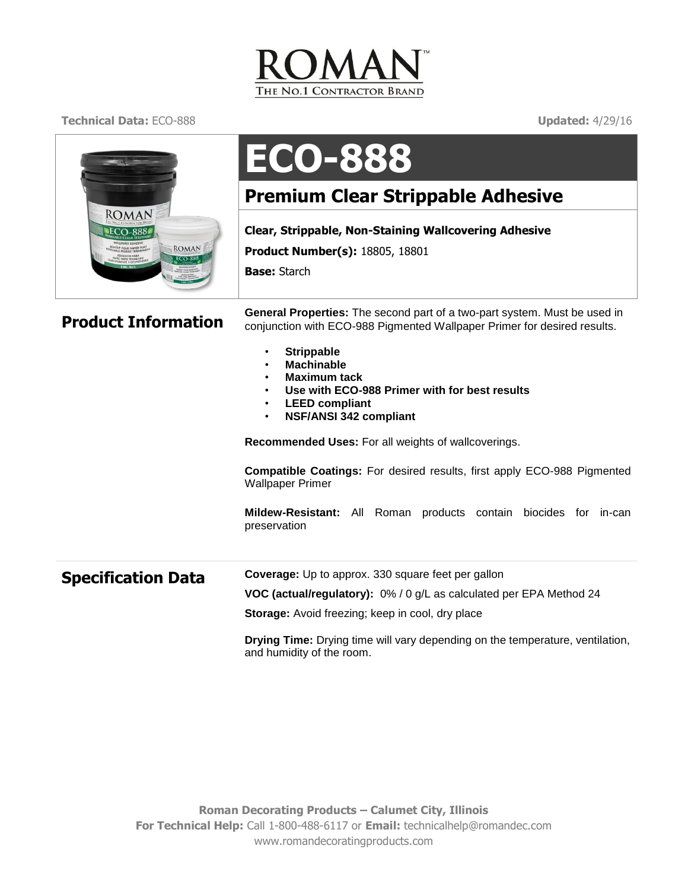

**Technical Data:** ECO-888 **Updated:** 4/29/16



## **ECO-888**

## **Premium Clear Strippable Adhesive**

**Clear, Strippable, Non-Staining Wallcovering Adhesive**

**Product Number(s):** 18805, 18801

**Base:** Starch

**Product Information** General Properties: The second part of a two-part system. Must be used in<br>**Product Information** conjunction with ECO-988 Pigmented Wallpaper Primer for desired results.

- **Strippable**
- **Machinable**
- **Maximum tack**
- **Use with ECO-988 Primer with for best results**
- **LEED compliant**
- **NSF/ANSI 342 compliant**

**Recommended Uses:** For all weights of wallcoverings.

**Compatible Coatings:** For desired results, first apply ECO-988 Pigmented Wallpaper Primer

**Mildew-Resistant:** All Roman products contain biocides for in-can preservation

| <b>Specification Data</b> | <b>Coverage:</b> Up to approx. 330 square feet per gallon           |
|---------------------------|---------------------------------------------------------------------|
|                           | VOC (actual/regulatory): 0% / 0 g/L as calculated per EPA Method 24 |
|                           | <b>Storage:</b> Avoid freezing; keep in cool, dry place             |

**Drying Time:** Drying time will vary depending on the temperature, ventilation, and humidity of the room.